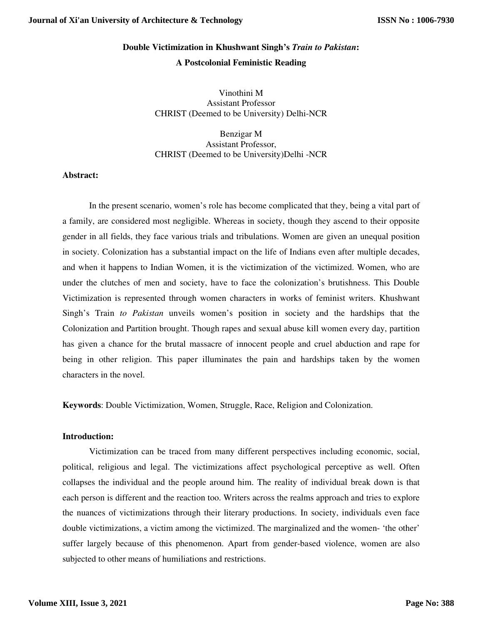# **Double Victimization in Khushwant Singh's** *Train to Pakistan***: A Postcolonial Feministic Reading**

Vinothini M Assistant Professor CHRIST (Deemed to be University) Delhi-NCR

Benzigar M Assistant Professor, CHRIST (Deemed to be University)Delhi -NCR

# **Abstract:**

In the present scenario, women's role has become complicated that they, being a vital part of a family, are considered most negligible. Whereas in society, though they ascend to their opposite gender in all fields, they face various trials and tribulations. Women are given an unequal position in society. Colonization has a substantial impact on the life of Indians even after multiple decades, and when it happens to Indian Women, it is the victimization of the victimized. Women, who are under the clutches of men and society, have to face the colonization's brutishness. This Double Victimization is represented through women characters in works of feminist writers. Khushwant Singh's Train *to Pakistan* unveils women's position in society and the hardships that the Colonization and Partition brought. Though rapes and sexual abuse kill women every day, partition has given a chance for the brutal massacre of innocent people and cruel abduction and rape for being in other religion. This paper illuminates the pain and hardships taken by the women characters in the novel.

**Keywords**: Double Victimization, Women, Struggle, Race, Religion and Colonization.

## **Introduction:**

Victimization can be traced from many different perspectives including economic, social, political, religious and legal. The victimizations affect psychological perceptive as well. Often collapses the individual and the people around him. The reality of individual break down is that each person is different and the reaction too. Writers across the realms approach and tries to explore the nuances of victimizations through their literary productions. In society, individuals even face double victimizations, a victim among the victimized. The marginalized and the women- 'the other' suffer largely because of this phenomenon. Apart from gender-based violence, women are also subjected to other means of humiliations and restrictions.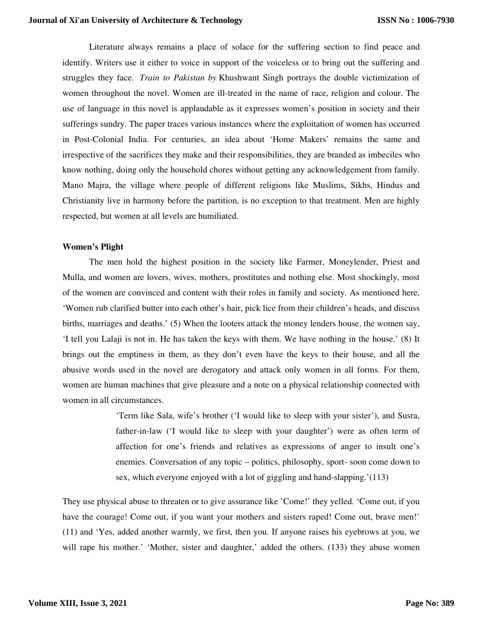Literature always remains a place of solace for the suffering section to find peace and identify. Writers use it either to voice in support of the voiceless or to bring out the suffering and struggles they face. *Train to Pakistan by* Khushwant Singh portrays the double victimization of women throughout the novel. Women are ill-treated in the name of race, religion and colour. The use of language in this novel is applaudable as it expresses women's position in society and their sufferings sundry. The paper traces various instances where the exploitation of women has occurred in Post-Colonial India. For centuries, an idea about 'Home Makers' remains the same and irrespective of the sacrifices they make and their responsibilities, they are branded as imbeciles who know nothing, doing only the household chores without getting any acknowledgement from family. Mano Majra, the village where people of different religions like Muslims, Sikhs, Hindus and Christianity live in harmony before the partition, is no exception to that treatment. Men are highly respected, but women at all levels are humiliated.

## **Women's Plight**

The men hold the highest position in the society like Farmer, Moneylender, Priest and Mulla, and women are lovers, wives, mothers, prostitutes and nothing else. Most shockingly, most of the women are convinced and content with their roles in family and society. As mentioned here, 'Women rub clarified butter into each other's hair, pick lice from their children's heads, and discuss births, marriages and deaths.' (5) When the looters attack the money lenders house, the women say, 'I tell you Lalaji is not in. He has taken the keys with them. We have nothing in the house.' (8) It brings out the emptiness in them, as they don't even have the keys to their house, and all the abusive words used in the novel are derogatory and attack only women in all forms. For them, women are human machines that give pleasure and a note on a physical relationship connected with women in all circumstances.

> 'Term like Sala, wife's brother ('I would like to sleep with your sister'), and Susra, father-in-law ('I would like to sleep with your daughter') were as often term of affection for one's friends and relatives as expressions of anger to insult one's enemies. Conversation of any topic – politics, philosophy, sport- soon come down to sex, which everyone enjoyed with a lot of giggling and hand-slapping.'(113)

They use physical abuse to threaten or to give assurance like 'Come!' they yelled. 'Come out, if you have the courage! Come out, if you want your mothers and sisters raped! Come out, brave men!' (11) and 'Yes, added another warmly, we first, then you. If anyone raises his eyebrows at you, we will rape his mother.' 'Mother, sister and daughter,' added the others. (133) they abuse women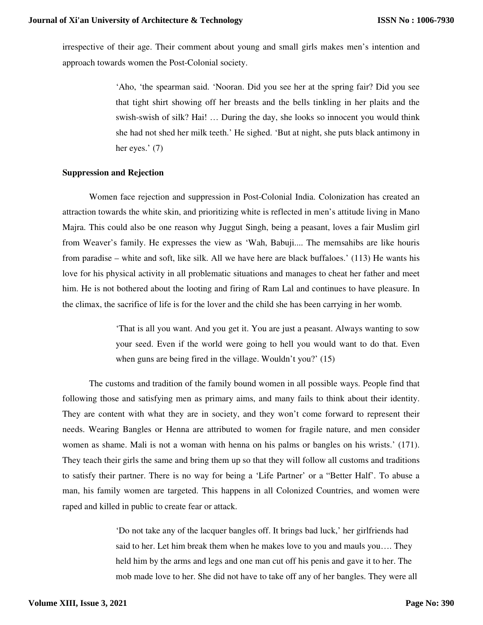irrespective of their age. Their comment about young and small girls makes men's intention and approach towards women the Post-Colonial society.

> 'Aho, 'the spearman said. 'Nooran. Did you see her at the spring fair? Did you see that tight shirt showing off her breasts and the bells tinkling in her plaits and the swish-swish of silk? Hai! … During the day, she looks so innocent you would think she had not shed her milk teeth.' He sighed. 'But at night, she puts black antimony in her eyes.' (7)

#### **Suppression and Rejection**

Women face rejection and suppression in Post-Colonial India. Colonization has created an attraction towards the white skin, and prioritizing white is reflected in men's attitude living in Mano Majra. This could also be one reason why Juggut Singh, being a peasant, loves a fair Muslim girl from Weaver's family. He expresses the view as 'Wah, Babuji.... The memsahibs are like houris from paradise – white and soft, like silk. All we have here are black buffaloes.' (113) He wants his love for his physical activity in all problematic situations and manages to cheat her father and meet him. He is not bothered about the looting and firing of Ram Lal and continues to have pleasure. In the climax, the sacrifice of life is for the lover and the child she has been carrying in her womb.

> 'That is all you want. And you get it. You are just a peasant. Always wanting to sow your seed. Even if the world were going to hell you would want to do that. Even when guns are being fired in the village. Wouldn't you?' (15)

The customs and tradition of the family bound women in all possible ways. People find that following those and satisfying men as primary aims, and many fails to think about their identity. They are content with what they are in society, and they won't come forward to represent their needs. Wearing Bangles or Henna are attributed to women for fragile nature, and men consider women as shame. Mali is not a woman with henna on his palms or bangles on his wrists.' (171). They teach their girls the same and bring them up so that they will follow all customs and traditions to satisfy their partner. There is no way for being a 'Life Partner' or a "Better Half'. To abuse a man, his family women are targeted. This happens in all Colonized Countries, and women were raped and killed in public to create fear or attack.

> 'Do not take any of the lacquer bangles off. It brings bad luck,' her girlfriends had said to her. Let him break them when he makes love to you and mauls you…. They held him by the arms and legs and one man cut off his penis and gave it to her. The mob made love to her. She did not have to take off any of her bangles. They were all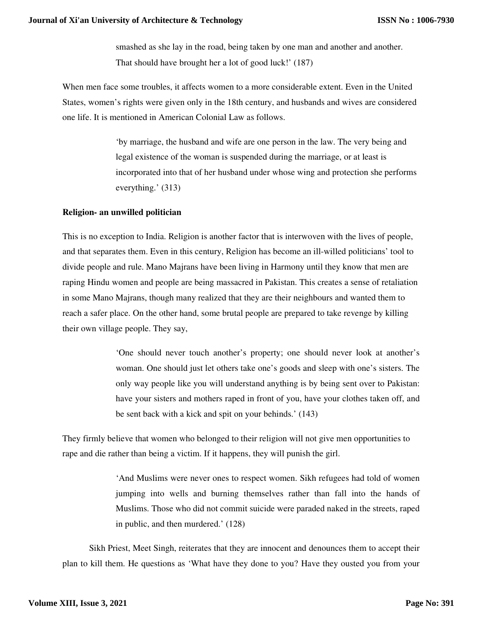smashed as she lay in the road, being taken by one man and another and another. That should have brought her a lot of good luck!' (187)

When men face some troubles, it affects women to a more considerable extent. Even in the United States, women's rights were given only in the 18th century, and husbands and wives are considered one life. It is mentioned in American Colonial Law as follows.

> 'by marriage, the husband and wife are one person in the law. The very being and legal existence of the woman is suspended during the marriage, or at least is incorporated into that of her husband under whose wing and protection she performs everything.' (313)

# **Religion- an unwilled politician**

This is no exception to India. Religion is another factor that is interwoven with the lives of people, and that separates them. Even in this century, Religion has become an ill-willed politicians' tool to divide people and rule. Mano Majrans have been living in Harmony until they know that men are raping Hindu women and people are being massacred in Pakistan. This creates a sense of retaliation in some Mano Majrans, though many realized that they are their neighbours and wanted them to reach a safer place. On the other hand, some brutal people are prepared to take revenge by killing their own village people. They say,

> 'One should never touch another's property; one should never look at another's woman. One should just let others take one's goods and sleep with one's sisters. The only way people like you will understand anything is by being sent over to Pakistan: have your sisters and mothers raped in front of you, have your clothes taken off, and be sent back with a kick and spit on your behinds.' (143)

They firmly believe that women who belonged to their religion will not give men opportunities to rape and die rather than being a victim. If it happens, they will punish the girl.

> 'And Muslims were never ones to respect women. Sikh refugees had told of women jumping into wells and burning themselves rather than fall into the hands of Muslims. Those who did not commit suicide were paraded naked in the streets, raped in public, and then murdered.' (128)

Sikh Priest, Meet Singh, reiterates that they are innocent and denounces them to accept their plan to kill them. He questions as 'What have they done to you? Have they ousted you from your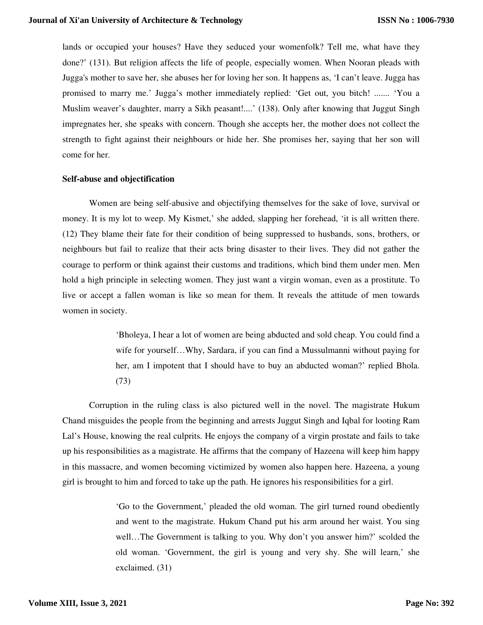lands or occupied your houses? Have they seduced your womenfolk? Tell me, what have they done?' (131). But religion affects the life of people, especially women. When Nooran pleads with Jugga's mother to save her, she abuses her for loving her son. It happens as, 'I can't leave. Jugga has promised to marry me.' Jugga's mother immediately replied: 'Get out, you bitch! ....... 'You a Muslim weaver's daughter, marry a Sikh peasant!....' (138). Only after knowing that Juggut Singh impregnates her, she speaks with concern. Though she accepts her, the mother does not collect the strength to fight against their neighbours or hide her. She promises her, saying that her son will come for her.

#### **Self-abuse and objectification**

Women are being self-abusive and objectifying themselves for the sake of love, survival or money. It is my lot to weep. My Kismet,' she added, slapping her forehead, 'it is all written there. (12) They blame their fate for their condition of being suppressed to husbands, sons, brothers, or neighbours but fail to realize that their acts bring disaster to their lives. They did not gather the courage to perform or think against their customs and traditions, which bind them under men. Men hold a high principle in selecting women. They just want a virgin woman, even as a prostitute. To live or accept a fallen woman is like so mean for them. It reveals the attitude of men towards women in society.

> 'Bholeya, I hear a lot of women are being abducted and sold cheap. You could find a wife for yourself…Why, Sardara, if you can find a Mussulmanni without paying for her, am I impotent that I should have to buy an abducted woman?' replied Bhola. (73)

Corruption in the ruling class is also pictured well in the novel. The magistrate Hukum Chand misguides the people from the beginning and arrests Juggut Singh and Iqbal for looting Ram Lal's House, knowing the real culprits. He enjoys the company of a virgin prostate and fails to take up his responsibilities as a magistrate. He affirms that the company of Hazeena will keep him happy in this massacre, and women becoming victimized by women also happen here. Hazeena, a young girl is brought to him and forced to take up the path. He ignores his responsibilities for a girl.

> 'Go to the Government,' pleaded the old woman. The girl turned round obediently and went to the magistrate. Hukum Chand put his arm around her waist. You sing well…The Government is talking to you. Why don't you answer him?' scolded the old woman. 'Government, the girl is young and very shy. She will learn,' she exclaimed. (31)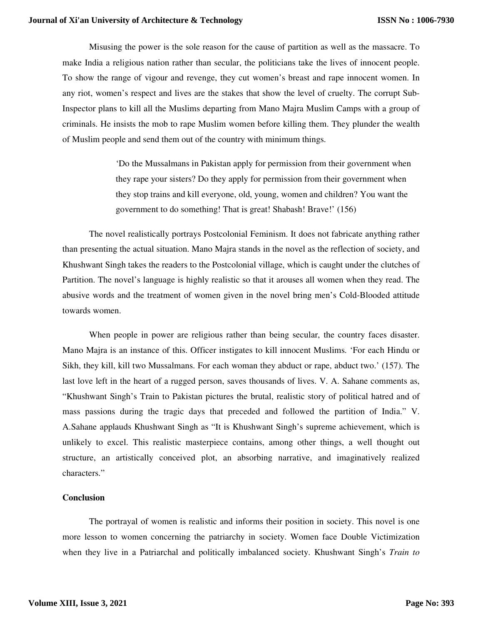Misusing the power is the sole reason for the cause of partition as well as the massacre. To make India a religious nation rather than secular, the politicians take the lives of innocent people. To show the range of vigour and revenge, they cut women's breast and rape innocent women. In any riot, women's respect and lives are the stakes that show the level of cruelty. The corrupt Sub-Inspector plans to kill all the Muslims departing from Mano Majra Muslim Camps with a group of criminals. He insists the mob to rape Muslim women before killing them. They plunder the wealth of Muslim people and send them out of the country with minimum things.

> 'Do the Mussalmans in Pakistan apply for permission from their government when they rape your sisters? Do they apply for permission from their government when they stop trains and kill everyone, old, young, women and children? You want the government to do something! That is great! Shabash! Brave!' (156)

The novel realistically portrays Postcolonial Feminism. It does not fabricate anything rather than presenting the actual situation. Mano Majra stands in the novel as the reflection of society, and Khushwant Singh takes the readers to the Postcolonial village, which is caught under the clutches of Partition. The novel's language is highly realistic so that it arouses all women when they read. The abusive words and the treatment of women given in the novel bring men's Cold-Blooded attitude towards women.

When people in power are religious rather than being secular, the country faces disaster. Mano Majra is an instance of this. Officer instigates to kill innocent Muslims. 'For each Hindu or Sikh, they kill, kill two Mussalmans. For each woman they abduct or rape, abduct two.' (157). The last love left in the heart of a rugged person, saves thousands of lives. V. A. Sahane comments as, "Khushwant Singh's Train to Pakistan pictures the brutal, realistic story of political hatred and of mass passions during the tragic days that preceded and followed the partition of India." V. A.Sahane applauds Khushwant Singh as "It is Khushwant Singh's supreme achievement, which is unlikely to excel. This realistic masterpiece contains, among other things, a well thought out structure, an artistically conceived plot, an absorbing narrative, and imaginatively realized characters."

#### **Conclusion**

The portrayal of women is realistic and informs their position in society. This novel is one more lesson to women concerning the patriarchy in society. Women face Double Victimization when they live in a Patriarchal and politically imbalanced society. Khushwant Singh's *Train to*